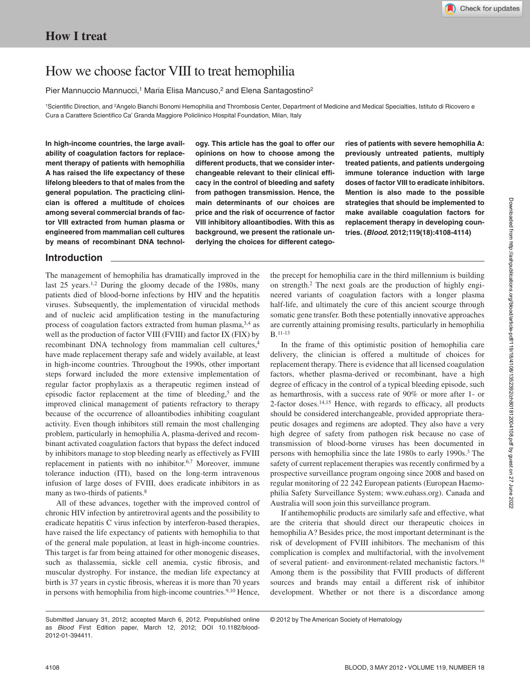# How we choose factor VIII to treat hemophilia

Pier Mannuccio Mannucci,<sup>1</sup> Maria Elisa Mancuso,<sup>2</sup> and Elena Santagostino<sup>2</sup>

1Scientific Direction, and 2Angelo Bianchi Bonomi Hemophilia and Thrombosis Center, Department of Medicine and Medical Specialties, Istituto di Ricovero e Cura a Carattere Scientifico Ca' Granda Maggiore Policlinico Hospital Foundation, Milan, Italy

**In high-income countries, the large availability of coagulation factors for replacement therapy of patients with hemophilia A has raised the life expectancy of these lifelong bleeders to that of males from the general population. The practicing clinician is offered a multitude of choices among several commercial brands of factor VIII extracted from human plasma or engineered from mammalian cell cultures by means of recombinant DNA technol-**

**ogy. This article has the goal to offer our opinions on how to choose among the different products, that we consider interchangeable relevant to their clinical efficacy in the control of bleeding and safety from pathogen transmission. Hence, the main determinants of our choices are price and the risk of occurrence of factor VIII inhibitory alloantibodies. With this as background, we present the rationale underlying the choices for different catego-** **ries of patients with severe hemophilia A: previously untreated patients, multiply treated patients, and patients undergoing immune tolerance induction with large doses of factor VIII to eradicate inhibitors. Mention is also made to the possible strategies that should be implemented to make available coagulation factors for replacement therapy in developing countries. (***Blood***. 2012;119(18):4108-4114)**

## **Introduction**

The management of hemophilia has dramatically improved in the last 25 years.<sup>1,2</sup> During the gloomy decade of the 1980s, many patients died of blood-borne infections by HIV and the hepatitis viruses. Subsequently, the implementation of virucidal methods and of nucleic acid amplification testing in the manufacturing process of coagulation factors extracted from human plasma,3,4 as well as the production of factor VIII (FVIII) and factor IX (FIX) by recombinant DNA technology from mammalian cell cultures,4 have made replacement therapy safe and widely available, at least in high-income countries. Throughout the 1990s, other important steps forward included the more extensive implementation of regular factor prophylaxis as a therapeutic regimen instead of episodic factor replacement at the time of bleeding,<sup>5</sup> and the improved clinical management of patients refractory to therapy because of the occurrence of alloantibodies inhibiting coagulant activity. Even though inhibitors still remain the most challenging problem, particularly in hemophilia A, plasma-derived and recombinant activated coagulation factors that bypass the defect induced by inhibitors manage to stop bleeding nearly as effectively as FVIII replacement in patients with no inhibitor.<sup>6,7</sup> Moreover, immune tolerance induction (ITI), based on the long-term intravenous infusion of large doses of FVIII, does eradicate inhibitors in as many as two-thirds of patients.<sup>8</sup>

All of these advances, together with the improved control of chronic HIV infection by antiretroviral agents and the possibility to eradicate hepatitis C virus infection by interferon-based therapies, have raised the life expectancy of patients with hemophilia to that of the general male population, at least in high-income countries. This target is far from being attained for other monogenic diseases, such as thalassemia, sickle cell anemia, cystic fibrosis, and muscular dystrophy. For instance, the median life expectancy at birth is 37 years in cystic fibrosis, whereas it is more than 70 years in persons with hemophilia from high-income countries. $9,10$  Hence,

the precept for hemophilia care in the third millennium is building on strength.2 The next goals are the production of highly engineered variants of coagulation factors with a longer plasma half-life, and ultimately the cure of this ancient scourge through somatic gene transfer. Both these potentially innovative approaches are currently attaining promising results, particularly in hemophilia B.11-13

In the frame of this optimistic position of hemophilia care delivery, the clinician is offered a multitude of choices for replacement therapy. There is evidence that all licensed coagulation factors, whether plasma-derived or recombinant, have a high degree of efficacy in the control of a typical bleeding episode, such as hemarthrosis, with a success rate of 90% or more after 1- or 2-factor doses.<sup>14,15</sup> Hence, with regards to efficacy, all products should be considered interchangeable, provided appropriate therapeutic dosages and regimens are adopted. They also have a very high degree of safety from pathogen risk because no case of transmission of blood-borne viruses has been documented in persons with hemophilia since the late 1980s to early 1990s.<sup>3</sup> The safety of current replacement therapies was recently confirmed by a prospective surveillance program ongoing since 2008 and based on regular monitoring of 22 242 European patients (European Haemophilia Safety Surveillance System; www.euhass.org). Canada and Australia will soon join this surveillance program.

If antihemophilic products are similarly safe and effective, what are the criteria that should direct our therapeutic choices in hemophilia A? Besides price, the most important determinant is the risk of development of FVIII inhibitors. The mechanism of this complication is complex and multifactorial, with the involvement of several patient- and environment-related mechanistic factors.16 Among them is the possibility that FVIII products of different sources and brands may entail a different risk of inhibitor development. Whether or not there is a discordance among

Submitted January 31, 2012; accepted March 6, 2012. Prepublished online as *Blood* First Edition paper, March 12, 2012; DOI 10.1182/blood-2012-01-394411.

<sup>© 2012</sup> by The American Society of Hematology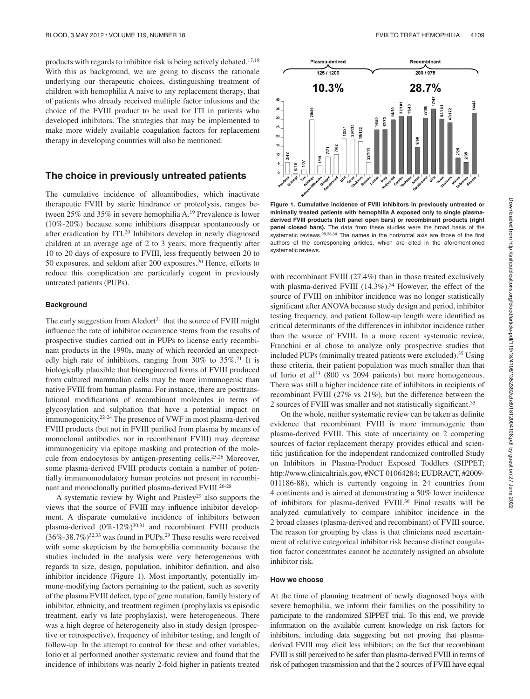products with regards to inhibitor risk is being actively debated.17,18 With this as background, we are going to discuss the rationale underlying our therapeutic choices, distinguishing treatment of children with hemophilia A naive to any replacement therapy, that of patients who already received multiple factor infusions and the choice of the FVIII product to be used for ITI in patients who developed inhibitors. The strategies that may be implemented to make more widely available coagulation factors for replacement therapy in developing countries will also be mentioned.

## **The choice in previously untreated patients**

The cumulative incidence of alloantibodies, which inactivate therapeutic FVIII by steric hindrance or proteolysis, ranges between 25% and 35% in severe hemophilia A.19 Prevalence is lower (10%-20%) because some inhibitors disappear spontaneously or after eradication by ITI.20 Inhibitors develop in newly diagnosed children at an average age of 2 to 3 years, more frequently after 10 to 20 days of exposure to FVIII, less frequently between 20 to 50 exposures, and seldom after 200 exposures.20 Hence, efforts to reduce this complication are particularly cogent in previously untreated patients (PUPs).

#### **Background**

The early suggestion from Aledort<sup>21</sup> that the source of FVIII might influence the rate of inhibitor occurrence stems from the results of prospective studies carried out in PUPs to license early recombinant products in the 1990s, many of which recorded an unexpectedly high rate of inhibitors, ranging from  $30\%$  to  $35\%$ .<sup>21</sup> It is biologically plausible that bioengineered forms of FVIII produced from cultured mammalian cells may be more immunogenic than native FVIII from human plasma. For instance, there are posttranslational modifications of recombinant molecules in terms of glycosylation and sulphation that have a potential impact on immunogenicity.22-24 The presence of VWF in most plasma-derived FVIII products (but not in FVIII purified from plasma by means of monoclonal antibodies nor in recombinant FVIII) may decrease immunogenicity via epitope masking and protection of the molecule from endocytosis by antigen-presenting cells.25,26 Moreover, some plasma-derived FVIII products contain a number of potentially immunomodulatory human proteins not present in recombinant and monoclonally purified plasma-derived FVIII.26-28

A systematic review by Wight and Paisley<sup>29</sup> also supports the views that the source of FVIII may influence inhibitor development. A disparate cumulative incidence of inhibitors between plasma-derived  $(0\% - 12\%)^{30,31}$  and recombinant FVIII products  $(36\% - 38.7\%)$ <sup>32,33</sup> was found in PUPs.<sup>29</sup> These results were received with some skepticism by the hemophilia community because the studies included in the analysis were very heterogeneous with regards to size, design, population, inhibitor definition, and also inhibitor incidence (Figure 1). Most importantly, potentially immune-modifying factors pertaining to the patient, such as severity of the plasma FVIII defect, type of gene mutation, family history of inhibitor, ethnicity, and treatment regimen (prophylaxis vs episodic treatment, early vs late prophylaxis), were heterogeneous. There was a high degree of heterogeneity also in study design (prospective or retrospective), frequency of inhibitor testing, and length of follow-up. In the attempt to control for these and other variables, Iorio et al performed another systematic review and found that the incidence of inhibitors was nearly 2-fold higher in patients treated



**Figure 1. Cumulative incidence of FVIII inhibitors in previously untreated or minimally treated patients with hemophilia A exposed only to single plasmaderived FVIII products (left panel open bars) or recombinant products (right panel closed bars).** The data from these studies were the broad basis of the systematic reviews.<sup>28,33,34</sup> The names in the horizontal axis are those of the first authors of the corresponding articles, which are cited in the aforementioned systematic reviews.

with recombinant FVIII (27.4%) than in those treated exclusively with plasma-derived FVIII  $(14.3\%)$ .<sup>34</sup> However, the effect of the source of FVIII on inhibitor incidence was no longer statistically significant after ANOVA because study design and period, inhibitor testing frequency, and patient follow-up length were identified as critical determinants of the differences in inhibitor incidence rather than the source of FVIII. In a more recent systematic review, Franchini et al chose to analyze only prospective studies that included PUPs (minimally treated patients were excluded).35 Using these criteria, their patient population was much smaller than that of Iorio et al<sup>33</sup> (800 vs 2094 patients) but more homogeneous. There was still a higher incidence rate of inhibitors in recipients of recombinant FVIII (27% vs 21%), but the difference between the 2 sources of FVIII was smaller and not statistically significant.35

On the whole, neither systematic review can be taken as definite evidence that recombinant FVIII is more immunogenic than plasma-derived FVIII. This state of uncertainty on 2 competing sources of factor replacement therapy provides ethical and scientific justification for the independent randomized controlled Study on Inhibitors in Plasma-Product Exposed Toddlers (SIPPET; http://www.clinicaltrials.gov, #NCT 01064284; EUDRACT, #2009- 011186-88), which is currently ongoing in 24 countries from 4 continents and is aimed at demonstrating a 50% lower incidence of inhibitors for plasma-derived FVIII.36 Final results will be analyzed cumulatively to compare inhibitor incidence in the 2 broad classes (plasma-derived and recombinant) of FVIII source. The reason for grouping by class is that clinicians need ascertainment of relative categorical inhibitor risk because distinct coagulation factor concentrates cannot be accurately assigned an absolute inhibitor risk.

#### **How we choose**

At the time of planning treatment of newly diagnosed boys with severe hemophilia, we inform their families on the possibility to participate to the randomized SIPPET trial. To this end, we provide information on the available current knowledge on risk factors for inhibitors, including data suggesting but not proving that plasmaderived FVIII may elicit less inhibitors; on the fact that recombinant FVIII is still perceived to be safer than plasma-derived FVIII in terms of risk of pathogen transmission and that the 2 sources of FVIII have equal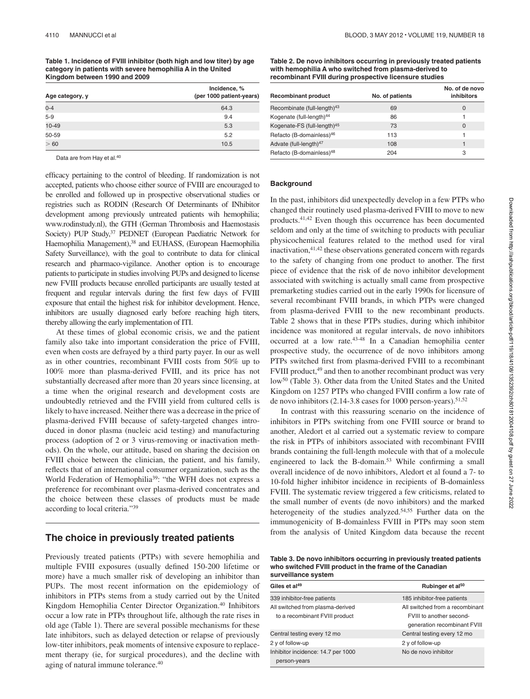| Table 1. Incidence of FVIII inhibitor (both high and low titer) by age |
|------------------------------------------------------------------------|
| category in patients with severe hemophilia A in the United            |
| Kingdom between 1990 and 2009                                          |

| Age category, y | Incidence, %<br>(per 1000 patient-years) |
|-----------------|------------------------------------------|
| $0 - 4$         | 64.3                                     |
| $5 - 9$         | 9.4                                      |
| $10 - 49$       | 5.3                                      |
| 50-59           | 5.2                                      |
| >60             | 10.5                                     |

Data are from Hay et al.<sup>40</sup>

efficacy pertaining to the control of bleeding. If randomization is not accepted, patients who choose either source of FVIII are encouraged to be enrolled and followed up in prospective observational studies or registries such as RODIN (Research Of Determinants of INhibitor development among previously untreated patients wih hemophilia; www.rodinstudy.nl), the GTH (German Thrombosis and Haemostasis Society) PUP Study,<sup>37</sup> PEDNET (European Paediatric Network for Haemophilia Management),<sup>38</sup> and EUHASS, (European Haemophilia Safety Surveillance), with the goal to contribute to data for clinical research and pharmaco-vigilance. Another option is to encourage patients to participate in studies involving PUPs and designed to license new FVIII products because enrolled participants are usually tested at frequent and regular intervals during the first few days of FVIII exposure that entail the highest risk for inhibitor development. Hence, inhibitors are usually diagnosed early before reaching high titers, thereby allowing the early implementation of ITI.

At these times of global economic crisis, we and the patient family also take into important consideration the price of FVIII, even when costs are defrayed by a third party payer. In our as well as in other countries, recombinant FVIII costs from 50% up to 100% more than plasma-derived FVIII, and its price has not substantially decreased after more than 20 years since licensing, at a time when the original research and development costs are undoubtedly retrieved and the FVIII yield from cultured cells is likely to have increased. Neither there was a decrease in the price of plasma-derived FVIII because of safety-targeted changes introduced in donor plasma (nucleic acid testing) and manufacturing process (adoption of 2 or 3 virus-removing or inactivation methods). On the whole, our attitude, based on sharing the decision on FVIII choice between the clinician, the patient, and his family, reflects that of an international consumer organization, such as the World Federation of Hemophilia<sup>39</sup>: "the WFH does not express a preference for recombinant over plasma-derived concentrates and the choice between these classes of products must be made according to local criteria."39

## **The choice in previously treated patients**

Previously treated patients (PTPs) with severe hemophilia and multiple FVIII exposures (usually defined 150-200 lifetime or more) have a much smaller risk of developing an inhibitor than PUPs. The most recent information on the epidemiology of inhibitors in PTPs stems from a study carried out by the United Kingdom Hemophilia Center Director Organization.<sup>40</sup> Inhibitors occur a low rate in PTPs throughout life, although the rate rises in old age (Table 1). There are several possible mechanisms for these late inhibitors, such as delayed detection or relapse of previously low-titer inhibitors, peak moments of intensive exposure to replacement therapy (ie, for surgical procedures), and the decline with aging of natural immune tolerance.40

**Table 2. De novo inhibitors occurring in previously treated patients with hemophilia A who switched from plasma-derived to recombinant FVIII during prospective licensure studies**

| <b>Recombinant product</b>              | No. of patients | No. of de novo<br>inhibitors |
|-----------------------------------------|-----------------|------------------------------|
| Recombinate (full-length) <sup>43</sup> | 69              | O                            |
| Kogenate (full-length) <sup>44</sup>    | 86              |                              |
| Kogenate-FS (full-length) <sup>45</sup> | 73              | $\Omega$                     |
| Refacto (B-domainless) <sup>46</sup>    | 113             |                              |
| Advate (full-length) <sup>47</sup>      | 108             |                              |
| Refacto (B-domainless) <sup>48</sup>    | 204             | 3                            |

#### **Background**

In the past, inhibitors did unexpectedly develop in a few PTPs who changed their routinely used plasma-derived FVIII to move to new products.41,42 Even though this occurrence has been documented seldom and only at the time of switching to products with peculiar physicochemical features related to the method used for viral inactivation,41,42 these observations generated concern with regards to the safety of changing from one product to another. The first piece of evidence that the risk of de novo inhibitor development associated with switching is actually small came from prospective premarketing studies carried out in the early 1990s for licensure of several recombinant FVIII brands, in which PTPs were changed from plasma-derived FVIII to the new recombinant products. Table 2 shows that in these PTPs studies, during which inhibitor incidence was monitored at regular intervals, de novo inhibitors occurred at a low rate.43-48 In a Canadian hemophilia center prospective study, the occurrence of de novo inhibitors among PTPs switched first from plasma-derived FVIII to a recombinant FVIII product,<sup>49</sup> and then to another recombinant product was very low<sup>50</sup> (Table 3). Other data from the United States and the United Kingdom on 1257 PTPs who changed FVIII confirm a low rate of de novo inhibitors (2.14-3.8 cases for 1000 person-years).<sup>51,52</sup>

In contrast with this reassuring scenario on the incidence of inhibitors in PTPs switching from one FVIII source or brand to another, Aledort et al carried out a systematic review to compare the risk in PTPs of inhibitors associated with recombinant FVIII brands containing the full-length molecule with that of a molecule engineered to lack the B-domain.53 While confirming a small overall incidence of de novo inhibitors, Aledort et al found a 7- to 10-fold higher inhibitor incidence in recipients of B-domainless FVIII. The systematic review triggered a few criticisms, related to the small number of events (de novo inhibitors) and the marked heterogeneity of the studies analyzed.<sup>54,55</sup> Further data on the immunogenicity of B-domainless FVIII in PTPs may soon stem from the analysis of United Kingdom data because the recent

**Table 3. De novo inhibitors occurring in previously treated patients who switched FVIII product in the frame of the Canadian surveillance system**

| Giles et al <sup>49</sup>          | Rubinger et al <sup>50</sup>    |
|------------------------------------|---------------------------------|
| 339 inhibitor-free patients        | 185 inhibitor-free patients     |
| All switched from plasma-derived   | All switched from a recombinant |
| to a recombinant FVIII product     | FVIII to another second-        |
|                                    | generation recombinant FVIII    |
| Central testing every 12 mo        | Central testing every 12 mo     |
| 2 y of follow-up                   | 2 y of follow-up                |
| Inhibitor incidence: 14.7 per 1000 | No de novo inhibitor            |
| person-years                       |                                 |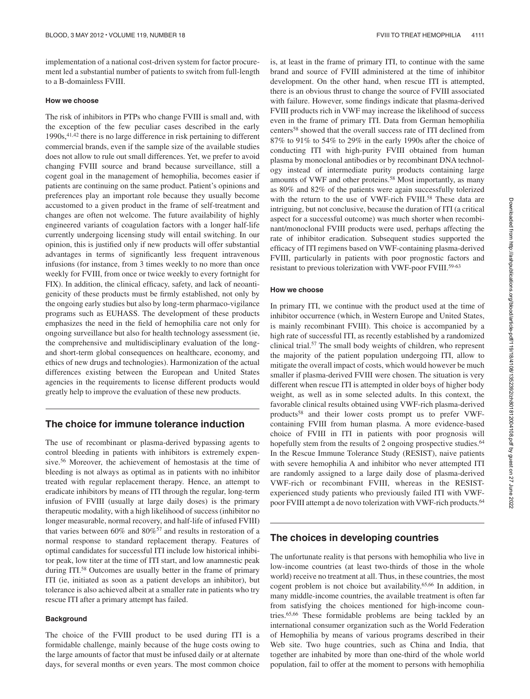implementation of a national cost-driven system for factor procurement led a substantial number of patients to switch from full-length to a B-domainless FVIII.

#### **How we choose**

The risk of inhibitors in PTPs who change FVIII is small and, with the exception of the few peculiar cases described in the early 1990s,41,42 there is no large difference in risk pertaining to different commercial brands, even if the sample size of the available studies does not allow to rule out small differences. Yet, we prefer to avoid changing FVIII source and brand because surveillance, still a cogent goal in the management of hemophilia, becomes easier if patients are continuing on the same product. Patient's opinions and preferences play an important role because they usually become accustomed to a given product in the frame of self-treatment and changes are often not welcome. The future availability of highly engineered variants of coagulation factors with a longer half-life currently undergoing licensing study will entail switching. In our opinion, this is justified only if new products will offer substantial advantages in terms of significantly less frequent intravenous infusions (for instance, from 3 times weekly to no more than once weekly for FVIII, from once or twice weekly to every fortnight for FIX). In addition, the clinical efficacy, safety, and lack of neoantigenicity of these products must be firmly established, not only by the ongoing early studies but also by long-term pharmaco-vigilance programs such as EUHASS. The development of these products emphasizes the need in the field of hemophilia care not only for ongoing surveillance but also for health technology assessment (ie, the comprehensive and multidisciplinary evaluation of the longand short-term global consequences on healthcare, economy, and ethics of new drugs and technologies). Harmonization of the actual differences existing between the European and United States agencies in the requirements to license different products would greatly help to improve the evaluation of these new products.

## **The choice for immune tolerance induction**

The use of recombinant or plasma-derived bypassing agents to control bleeding in patients with inhibitors is extremely expensive.56 Moreover, the achievement of hemostasis at the time of bleeding is not always as optimal as in patients with no inhibitor treated with regular replacement therapy. Hence, an attempt to eradicate inhibitors by means of ITI through the regular, long-term infusion of FVIII (usually at large daily doses) is the primary therapeutic modality, with a high likelihood of success (inhibitor no longer measurable, normal recovery, and half-life of infused FVIII) that varies between  $60\%$  and  $80\%$ <sup>57</sup> and results in restoration of a normal response to standard replacement therapy. Features of optimal candidates for successful ITI include low historical inhibitor peak, low titer at the time of ITI start, and low anamnestic peak during ITI.58 Outcomes are usually better in the frame of primary ITI (ie, initiated as soon as a patient develops an inhibitor), but tolerance is also achieved albeit at a smaller rate in patients who try rescue ITI after a primary attempt has failed.

#### **Background**

The choice of the FVIII product to be used during ITI is a formidable challenge, mainly because of the huge costs owing to the large amounts of factor that must be infused daily or at alternate days, for several months or even years. The most common choice

is, at least in the frame of primary ITI, to continue with the same brand and source of FVIII administered at the time of inhibitor development. On the other hand, when rescue ITI is attempted, there is an obvious thrust to change the source of FVIII associated with failure. However, some findings indicate that plasma-derived FVIII products rich in VWF may increase the likelihood of success even in the frame of primary ITI. Data from German hemophilia centers58 showed that the overall success rate of ITI declined from 87% to 91% to 54% to 29% in the early 1990s after the choice of conducting ITI with high-purity FVIII obtained from human plasma by monoclonal antibodies or by recombinant DNA technology instead of intermediate purity products containing large amounts of VWF and other proteins.<sup>58</sup> Most importantly, as many as 80% and 82% of the patients were again successfully tolerized with the return to the use of VWF-rich FVIII.<sup>58</sup> These data are intriguing, but not conclusive, because the duration of ITI (a critical aspect for a successful outcome) was much shorter when recombinant/monoclonal FVIII products were used, perhaps affecting the rate of inhibitor eradication. Subsequent studies supported the efficacy of ITI regimens based on VWF-containing plasma-derived FVIII, particularly in patients with poor prognostic factors and resistant to previous tolerization with VWF-poor FVIII.59-63

#### **How we choose**

In primary ITI, we continue with the product used at the time of inhibitor occurrence (which, in Western Europe and United States, is mainly recombinant FVIII). This choice is accompanied by a high rate of successful ITI, as recently established by a randomized clinical trial.57 The small body weights of children, who represent the majority of the patient population undergoing ITI, allow to mitigate the overall impact of costs, which would however be much smaller if plasma-derived FVIII were chosen. The situation is very different when rescue ITI is attempted in older boys of higher body weight, as well as in some selected adults. In this context, the favorable clinical results obtained using VWF-rich plasma-derived products58 and their lower costs prompt us to prefer VWFcontaining FVIII from human plasma. A more evidence-based choice of FVIII in ITI in patients with poor prognosis will hopefully stem from the results of 2 ongoing prospective studies.<sup>64</sup> In the Rescue Immune Tolerance Study (RESIST), naive patients with severe hemophilia A and inhibitor who never attempted ITI are randomly assigned to a large daily dose of plasma-derived VWF-rich or recombinant FVIII, whereas in the RESISTexperienced study patients who previously failed ITI with VWFpoor FVIII attempt a de novo tolerization with VWF-rich products.<sup>64</sup>

# **The choices in developing countries**

The unfortunate reality is that persons with hemophilia who live in low-income countries (at least two-thirds of those in the whole world) receive no treatment at all. Thus, in these countries, the most cogent problem is not choice but availability.65,66 In addition, in many middle-income countries, the available treatment is often far from satisfying the choices mentioned for high-income countries.65,66 These formidable problems are being tackled by an international consumer organization such as the World Federation of Hemophilia by means of various programs described in their Web site. Two huge countries, such as China and India, that together are inhabited by more than one-third of the whole world population, fail to offer at the moment to persons with hemophilia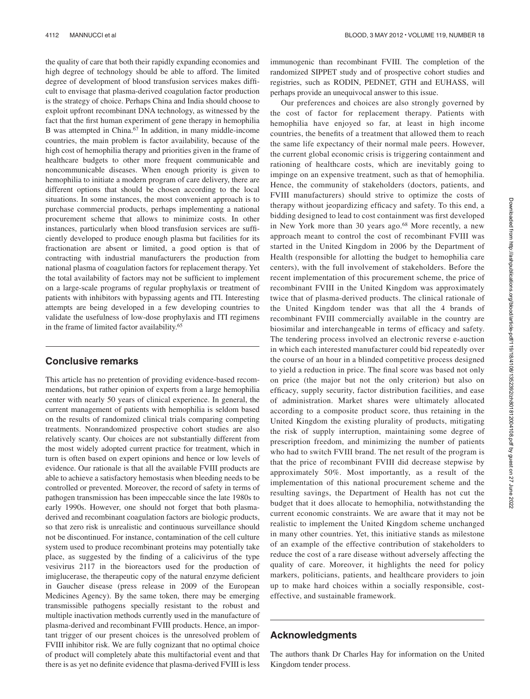the quality of care that both their rapidly expanding economies and high degree of technology should be able to afford. The limited degree of development of blood transfusion services makes difficult to envisage that plasma-derived coagulation factor production is the strategy of choice. Perhaps China and India should choose to exploit upfront recombinant DNA technology, as witnessed by the fact that the first human experiment of gene therapy in hemophilia B was attempted in China.<sup>67</sup> In addition, in many middle-income countries, the main problem is factor availability, because of the high cost of hemophilia therapy and priorities given in the frame of healthcare budgets to other more frequent communicable and noncommunicable diseases. When enough priority is given to hemophilia to initiate a modern program of care delivery, there are different options that should be chosen according to the local situations. In some instances, the most convenient approach is to purchase commercial products, perhaps implementing a national procurement scheme that allows to minimize costs. In other instances, particularly when blood transfusion services are sufficiently developed to produce enough plasma but facilities for its fractionation are absent or limited, a good option is that of contracting with industrial manufacturers the production from national plasma of coagulation factors for replacement therapy. Yet the total availability of factors may not be sufficient to implement on a large-scale programs of regular prophylaxis or treatment of patients with inhibitors with bypassing agents and ITI. Interesting attempts are being developed in a few developing countries to validate the usefulness of low-dose prophylaxis and ITI regimens in the frame of limited factor availability.<sup>65</sup>

## **Conclusive remarks**

This article has no pretention of providing evidence-based recommendations, but rather opinion of experts from a large hemophilia center with nearly 50 years of clinical experience. In general, the current management of patients with hemophilia is seldom based on the results of randomized clinical trials comparing competing treatments. Nonrandomized prospective cohort studies are also relatively scanty. Our choices are not substantially different from the most widely adopted current practice for treatment, which in turn is often based on expert opinions and hence or low levels of evidence. Our rationale is that all the available FVIII products are able to achieve a satisfactory hemostasis when bleeding needs to be controlled or prevented. Moreover, the record of safety in terms of pathogen transmission has been impeccable since the late 1980s to early 1990s. However, one should not forget that both plasmaderived and recombinant coagulation factors are biologic products, so that zero risk is unrealistic and continuous surveillance should not be discontinued. For instance, contamination of the cell culture system used to produce recombinant proteins may potentially take place, as suggested by the finding of a calicivirus of the type vesivirus 2117 in the bioreactors used for the production of imiglucerase, the therapeutic copy of the natural enzyme deficient in Gaucher disease (press release in 2009 of the European Medicines Agency). By the same token, there may be emerging transmissible pathogens specially resistant to the robust and multiple inactivation methods currently used in the manufacture of plasma-derived and recombinant FVIII products. Hence, an important trigger of our present choices is the unresolved problem of FVIII inhibitor risk. We are fully cognizant that no optimal choice of product will completely abate this multifactorial event and that there is as yet no definite evidence that plasma-derived FVIII is less immunogenic than recombinant FVIII. The completion of the randomized SIPPET study and of prospective cohort studies and registries, such as RODIN, PEDNET, GTH and EUHASS, will perhaps provide an unequivocal answer to this issue.

Our preferences and choices are also strongly governed by the cost of factor for replacement therapy. Patients with hemophilia have enjoyed so far, at least in high income countries, the benefits of a treatment that allowed them to reach the same life expectancy of their normal male peers. However, the current global economic crisis is triggering containment and rationing of healthcare costs, which are inevitably going to impinge on an expensive treatment, such as that of hemophilia. Hence, the community of stakeholders (doctors, patients, and FVIII manufacturers) should strive to optimize the costs of therapy without jeopardizing efficacy and safety. To this end, a bidding designed to lead to cost containment was first developed in New York more than 30 years ago.<sup>68</sup> More recently, a new approach meant to control the cost of recombinant FVIII was started in the United Kingdom in 2006 by the Department of Health (responsible for allotting the budget to hemophilia care centers), with the full involvement of stakeholders. Before the recent implementation of this procurement scheme, the price of recombinant FVIII in the United Kingdom was approximately twice that of plasma-derived products. The clinical rationale of the United Kingdom tender was that all the 4 brands of recombinant FVIII commercially available in the country are biosimilar and interchangeable in terms of efficacy and safety. The tendering process involved an electronic reverse e-auction in which each interested manufacturer could bid repeatedly over the course of an hour in a blinded competitive process designed to yield a reduction in price. The final score was based not only on price (the major but not the only criterion) but also on efficacy, supply security, factor distribution facilities, and ease of administration. Market shares were ultimately allocated according to a composite product score, thus retaining in the United Kingdom the existing plurality of products, mitigating the risk of supply interruption, maintaining some degree of prescription freedom, and minimizing the number of patients who had to switch FVIII brand. The net result of the program is that the price of recombinant FVIII did decrease stepwise by approximately 50%. Most importantly, as a result of the implementation of this national procurement scheme and the resulting savings, the Department of Health has not cut the budget that it does allocate to hemophilia, notwithstanding the current economic constraints. We are aware that it may not be realistic to implement the United Kingdom scheme unchanged in many other countries. Yet, this initiative stands as milestone of an example of the effective contribution of stakeholders to reduce the cost of a rare disease without adversely affecting the quality of care. Moreover, it highlights the need for policy markers, politicians, patients, and healthcare providers to join up to make hard choices within a socially responsible, costeffective, and sustainable framework.

# **Acknowledgments**

The authors thank Dr Charles Hay for information on the United Kingdom tender process.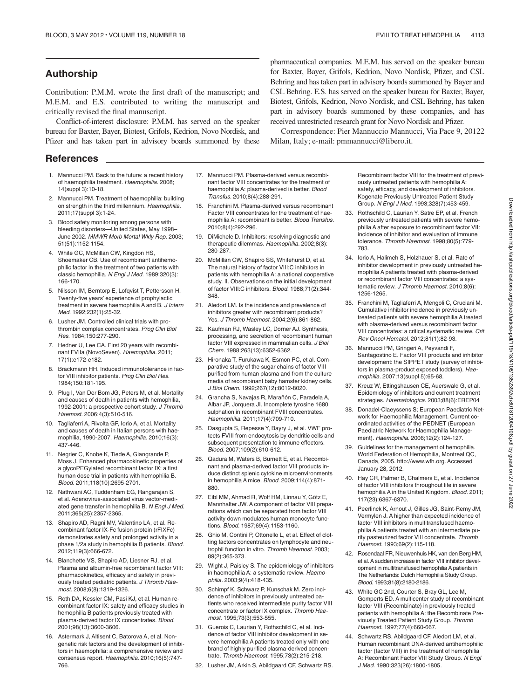## **Authorship**

Contribution: P.M.M. wrote the first draft of the manuscript; and M.E.M. and E.S. contributed to writing the manuscript and critically revised the final manuscript.

Conflict-of-interest disclosure: P.M.M. has served on the speaker bureau for Baxter, Bayer, Biotest, Grifols, Kedrion, Novo Nordisk, and Pfizer and has taken part in advisory boards summoned by these

### **References**

- 1. Mannucci PM. Back to the future: a recent history of haemophilia treatment. *Haemophilia.* 2008; 14(suppl 3):10-18.
- 2. Mannucci PM. Treatment of haemophilia: building on strength in the third millennium. *Haemophilia.* 2011;17(suppl 3):1-24.
- 3. Blood safety monitoring among persons with bleeding disorders—United States, May 1998– June 2002. *MMWR Morb Mortal Wkly Rep*. 2003; 51(51):1152-1154.
- 4. White GC, McMillan CW, Kingdon HS, Shoemaker CB. Use of recombinant antihemophilic factor in the treatment of two patients with classic hemophilia. *N Engl J Med.* 1989;320(3): 166-170.
- 5. Nilsson IM, Berntorp E, Lofqvist T, Pettersson H. Twenty-five years' experience of prophylactic treatment in severe haemophilia A and B. *J Intern Med.* 1992;232(1):25-32.
- 6. Lusher JM. Controlled clinical trials with prothrombin complex concentrates. *Prog Clin Biol Res*. 1984;150:277-290.
- 7. Hedner U, Lee CA. First 20 years with recombinant FVIIa (NovoSeven). *Haemophilia.* 2011; 17(1):e172-e182.
- 8. Brackmann HH. Induced immunotolerance in factor VIII inhibitor patients. *Prog Clin Biol Res*. 1984;150:181-195.
- 9. Plug I, Van Der Bom JG, Peters M, et al. Mortality and causes of death in patients with hemophilia, 1992-2001: a prospective cohort study. *J Thromb Haemost.* 2006;4(3):510-516.
- 10. Tagliaferri A, Rivolta GF, Iorio A, et al. Mortality and causes of death in Italian persons with haemophilia, 1990-2007. *Haemophilia.* 2010;16(3): 437-446.
- 11. Negrier C, Knobe K, Tiede A, Giangrande P, Moss J. Enhanced pharmacokinetic properties of a glycoPEGylated recombinant factor IX: a first human dose trial in patients with hemophilia B. *Blood.* 2011;118(10):2695-2701.
- 12. Nathwani AC, Tuddenham EG, Rangarajan S, et al. Adenovirus-associated virus vector-mediated gene transfer in hemophilia B. *N Engl J Med.* 2011;365(25):2357-2365.
- 13. Shapiro AD, Ragni MV, Valentino LA, et al. Recombinant factor IX-Fc fusion protein (rFIXFc) demonstrates safety and prolonged activity in a phase 1/2a study in hemophilia B patients. *Blood.* 2012;119(3):666-672.
- 14. Blanchette VS, Shapiro AD, Liesner RJ, et al. Plasma and albumin-free recombinant factor VIII: pharmacokinetics, efficacy and safety in previously treated pediatric patients. *J Thromb Haemost.* 2008;6(8):1319-1326.
- 15. Roth DA, Kessler CM, Pasi KJ, et al. Human recombinant factor IX: safety and efficacy studies in hemophilia B patients previously treated with plasma-derived factor IX concentrates. *Blood.* 2001;98(13):3600-3606.
- 16. Astermark J, Altisent C, Batorova A, et al. Nongenetic risk factors and the development of inhibitors in haemophilia: a comprehensive review and consensus report. *Haemophilia.* 2010;16(5):747- 766.
- 17. Mannucci PM. Plasma-derived versus recombinant factor VIII concentrates for the treatment of haemophilia A: plasma-derived is better. *Blood Transfus.* 2010;8(4):288-291.
- 18. Franchini M. Plasma-derived versus recombinant Factor VIII concentrates for the treatment of haemophilia A: recombinant is better. *Blood Transfus.* 2010;8(4):292-296.
- 19. DiMichele D. Inhibitors: resolving diagnostic and therapeutic dilemmas. *Haemophilia.* 2002;8(3): 280-287.
- 20. McMillan CW, Shapiro SS, Whitehurst D, et al. The natural history of factor VIII:C inhibitors in patients with hemophilia A: a national cooperative study. II. Observations on the initial development of factor VIII:C inhibitors. *Blood.* 1988;71(2):344- 348.
- 21. Aledort LM. Is the incidence and prevalence of inhibitors greater with recombinant products? Yes. *J Thromb Haemost.* 2004;2(6):861-862.
- 22. Kaufman RJ, Wasley LC, Dorner AJ. Synthesis, processing, and secretion of recombinant human factor VIII expressed in mammalian cells. *J Biol Chem.* 1988;263(13):6352-6362.
- 23. Hironaka T, Furukawa K, Esmon PC, et al. Comparative study of the sugar chains of factor VIII purified from human plasma and from the culture media of recombinant baby hamster kidney cells. *J Biol Chem.* 1992;267(12):8012-8020.
- 24. Grancha S, Navajas R, Marañón C, Paradela A, Albar JP, Jorquera JI. Incomplete tyrosine 1680 sulphation in recombinant FVIII concentrates. *Haemophilia.* 2011;17(4):709-710.
- 25. Dasgupta S, Repesse Y, Bayry J, et al. VWF protects FVIII from endocytosis by dendritic cells and subsequent presentation to immune effectors. *Blood.* 2007;109(2):610-612.
- 26. Qadura M, Waters B, Burnett E, et al. Recombinant and plasma-derived factor VIII products induce distinct splenic cytokine microenvironments in hemophilia A mice. *Blood.* 2009;114(4):871- 880.
- 27. Eibl MM, Ahmad R, Wolf HM, Linnau Y, Götz E, Mannhalter JW. A component of factor VIII preparations which can be separated from factor VIII activity down modulates human monocyte functions. *Blood*. 1987;69(4):1153-1160.
- 28. Ghio M, Contini P, Ottonello L, et al. Effect of clotting factors concentrates on lymphocyte and neutrophil function in vitro. *Thromb Haemost.* 2003; 89(2):365-373.
- 29. Wight J, Paisley S. The epidemiology of inhibitors in haemophilia A: a systematic review. *Haemophilia.* 2003;9(4):418-435.
- 30. Schimpf K, Schwarz P, Kunschak M. Zero incidence of inhibitors in previously untreated patients who received intermediate purity factor VIII concentrate or factor IX complex. *Thromb Haemost.* 1995;73(3):553-555.
- 31. Guerois C, Laurian Y, Rothschild C, et al. Incidence of factor VIII inhibitor development in severe hemophilia A patients treated only with one brand of highly purified plasma-derived concentrate. *Thromb Haemost.* 1995;73(2):215-218.
- 32. Lusher JM, Arkin S, Abildgaard CF, Schwartz RS.

pharmaceutical companies. M.E.M. has served on the speaker bureau for Baxter, Bayer, Grifols, Kedrion, Novo Nordisk, Pfizer, and CSL Behring and has taken part in advisory boards summoned by Bayer and CSL Behring. E.S. has served on the speaker bureau for Baxter, Bayer, Biotest, Grifols, Kedrion, Novo Nordisk, and CSL Behring, has taken part in advisory boards summoned by these companies, and has received unrestricted research grant for Novo Nordisk and Pfizer.

Correspondence: Pier Mannuccio Mannucci, Via Pace 9, 20122 Milan, Italy; e-mail: pmmannucci@libero.it.

> Recombinant factor VIII for the treatment of previously untreated patients with hemophilia A: safety, efficacy, and development of inhibitors. Kogenate Previously Untreated Patient Study Group. *N Engl J Med.* 1993;328(7):453-459.

- 33. Rothschild C, Laurian Y, Satre EP, et al. French previously untreated patients with severe hemophilia A after exposure to recombinant factor VII: incidence of inhibitor and evaluation of immune tolerance. *Thromb Haemost.* 1998;80(5):779- 783.
- 34. Iorio A, Halimeh S, Holzhauer S, et al. Rate of inhibitor development in previously untreated hemophilia A patients treated with plasma-derived or recombinant factor VIII concentrates: a systematic review. *J Thromb Haemost.* 2010;8(6): 1256-1265.
- 35. Franchini M, Tagliaferri A, Mengoli C, Cruciani M. Cumulative inhibitor incidence in previously untreated patients with severe hemophilia A treated with plasma-derived versus recombinant factor VIII concentrates: a critical systematic review. *Crit Rev Oncol Hematol.* 2012;81(1):82-93.
- 36. Mannucci PM, Gringeri A, Peyvandi F, Santagostino E. Factor VIII products and inhibitor development: the SIPPET study (survey of inhibitors in plasma-product exposed toddlers). *Haemophilia.* 2007;13(suppl 5):65-68.
- 37. Kreuz W, Ettingshausen CE, Auerswald G, et al. Epidemiology of inhibitors and current treatment strategies. *Haematologica*. 2003;88(6):EREP04
- 38. Donadel-Claeyssens S; European Paediatric Network for Haemophilia Management. Current coordinated activities of the PEDNET (European Paediatric Network for Haemophilia Management). *Haemophilia.* 2006;12(2):124-127.
- 39. Guidelines for the management of hemophilia. World Federation of Hemophilia, Montreal QC, Canada, 2005. http://www.wfh.org. Accessed January 28, 2012.
- 40. Hay CR, Palmer B, Chalmers E, et al. Incidence of factor VIII inhibitors throughout life in severe hemophilia A in the United Kingdom. *Blood.* 2011; 117(23):6367-6370.
- 41. Peerlinck K, Arnout J, Gilles JG, Saint-Remy JM, Vermylen J. A higher than expected incidence of factor VIII inhibitors in multitransfused haemophilia A patients treated with an intermediate purity pasteurized factor VIII concentrate. *Thromb Haemost.* 1993;69(2):115-118.
- 42. Rosendaal FR, Nieuwenhuis HK, van den Berg HM, et al. A sudden increase in factor VIII inhibitor development in multitransfused hemophilia A patients in The Netherlands: Dutch Hemophilia Study Group. *Blood.* 1993;81(8):2180-2186.
- 43. White GC 2nd, Courter S, Bray GL, Lee M, Gomperts ED. A multicenter study of recombinant factor VIII (Recombinate) in previously treated patients with hemophilia A: the Recombinate Previously Treated Patient Study Group. *Thromb Haemost.* 1997;77(4):660-667.
- 44. Schwartz RS, Abildgaard CF, Aledort LM, et al. Human recombinant DNA-derived antihemophilic factor (factor VIII) in the treatment of hemophilia A: Recombinant Factor VIII Study Group. *N Engl J Med.* 1990;323(26):1800-1805.